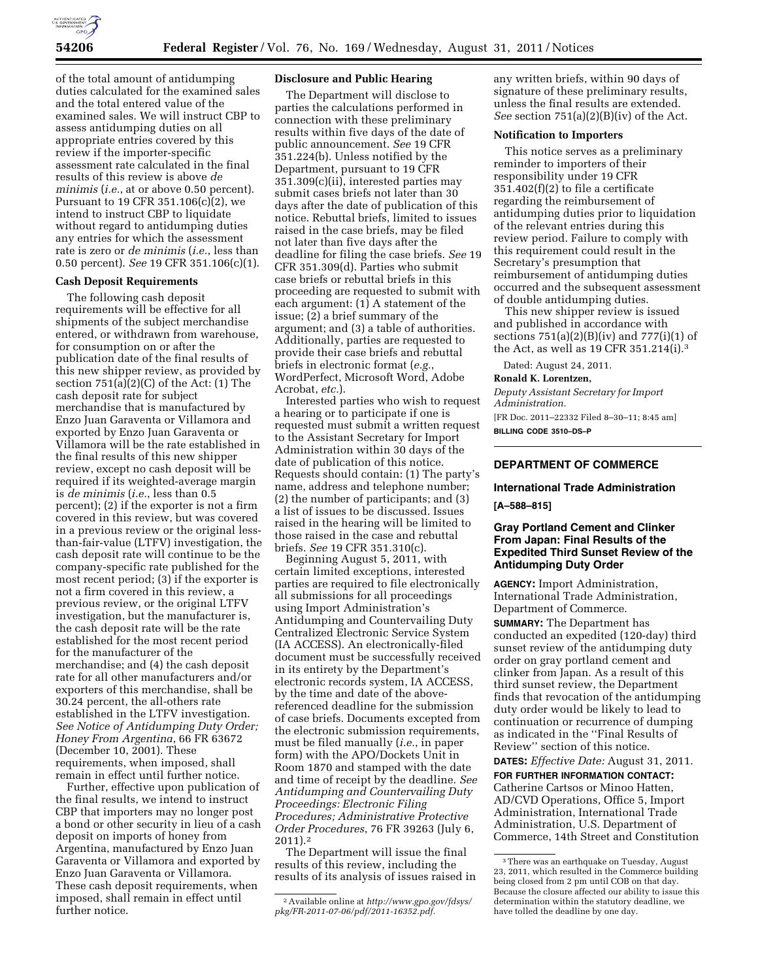

of the total amount of antidumping duties calculated for the examined sales and the total entered value of the examined sales. We will instruct CBP to assess antidumping duties on all appropriate entries covered by this review if the importer-specific assessment rate calculated in the final results of this review is above *de minimis* (*i.e.*, at or above 0.50 percent). Pursuant to 19 CFR 351.106(c)(2), we intend to instruct CBP to liquidate without regard to antidumping duties any entries for which the assessment rate is zero or *de minimis* (*i.e.*, less than 0.50 percent). *See* 19 CFR 351.106(c)(1).

### **Cash Deposit Requirements**

The following cash deposit requirements will be effective for all shipments of the subject merchandise entered, or withdrawn from warehouse, for consumption on or after the publication date of the final results of this new shipper review, as provided by section  $751(a)(2)(C)$  of the Act:  $(1)$  The cash deposit rate for subject merchandise that is manufactured by Enzo Juan Garaventa or Villamora and exported by Enzo Juan Garaventa or Villamora will be the rate established in the final results of this new shipper review, except no cash deposit will be required if its weighted-average margin is *de minimis* (*i.e.*, less than 0.5 percent); (2) if the exporter is not a firm covered in this review, but was covered in a previous review or the original lessthan-fair-value (LTFV) investigation, the cash deposit rate will continue to be the company-specific rate published for the most recent period; (3) if the exporter is not a firm covered in this review, a previous review, or the original LTFV investigation, but the manufacturer is, the cash deposit rate will be the rate established for the most recent period for the manufacturer of the merchandise; and (4) the cash deposit rate for all other manufacturers and/or exporters of this merchandise, shall be 30.24 percent, the all-others rate established in the LTFV investigation. *See Notice of Antidumping Duty Order; Honey From Argentina*, 66 FR 63672 (December 10, 2001). These requirements, when imposed, shall remain in effect until further notice.

Further, effective upon publication of the final results, we intend to instruct CBP that importers may no longer post a bond or other security in lieu of a cash deposit on imports of honey from Argentina, manufactured by Enzo Juan Garaventa or Villamora and exported by Enzo Juan Garaventa or Villamora. These cash deposit requirements, when imposed, shall remain in effect until further notice.

### **Disclosure and Public Hearing**

The Department will disclose to parties the calculations performed in connection with these preliminary results within five days of the date of public announcement. *See* 19 CFR 351.224(b). Unless notified by the Department, pursuant to 19 CFR 351.309(c)(ii), interested parties may submit cases briefs not later than 30 days after the date of publication of this notice. Rebuttal briefs, limited to issues raised in the case briefs, may be filed not later than five days after the deadline for filing the case briefs. *See* 19 CFR 351.309(d). Parties who submit case briefs or rebuttal briefs in this proceeding are requested to submit with each argument: (1) A statement of the issue; (2) a brief summary of the argument; and (3) a table of authorities. Additionally, parties are requested to provide their case briefs and rebuttal briefs in electronic format (*e.g.*, WordPerfect, Microsoft Word, Adobe Acrobat, *etc.*).

Interested parties who wish to request a hearing or to participate if one is requested must submit a written request to the Assistant Secretary for Import Administration within 30 days of the date of publication of this notice. Requests should contain: (1) The party's name, address and telephone number; (2) the number of participants; and (3) a list of issues to be discussed. Issues raised in the hearing will be limited to those raised in the case and rebuttal briefs. *See* 19 CFR 351.310(c).

Beginning August 5, 2011, with certain limited exceptions, interested parties are required to file electronically all submissions for all proceedings using Import Administration's Antidumping and Countervailing Duty Centralized Electronic Service System (IA ACCESS). An electronically-filed document must be successfully received in its entirety by the Department's electronic records system, IA ACCESS, by the time and date of the abovereferenced deadline for the submission of case briefs. Documents excepted from the electronic submission requirements, must be filed manually (*i.e.*, in paper form) with the APO/Dockets Unit in Room 1870 and stamped with the date and time of receipt by the deadline. *See Antidumping and Countervailing Duty Proceedings: Electronic Filing Procedures; Administrative Protective Order Procedures*, 76 FR 39263 (July 6, 2011).2

The Department will issue the final results of this review, including the results of its analysis of issues raised in any written briefs, within 90 days of signature of these preliminary results, unless the final results are extended. *See* section 751(a)(2)(B)(iv) of the Act.

# **Notification to Importers**

This notice serves as a preliminary reminder to importers of their responsibility under 19 CFR 351.402(f)(2) to file a certificate regarding the reimbursement of antidumping duties prior to liquidation of the relevant entries during this review period. Failure to comply with this requirement could result in the Secretary's presumption that reimbursement of antidumping duties occurred and the subsequent assessment of double antidumping duties.

This new shipper review is issued and published in accordance with sections  $751(a)(2)(B)(iv)$  and  $777(i)(1)$  of the Act, as well as 19 CFR 351.214(i).3

Dated: August 24, 2011.

#### **Ronald K. Lorentzen,**

*Deputy Assistant Secretary for Import Administration.* 

[FR Doc. 2011–22332 Filed 8–30–11; 8:45 am] **BILLING CODE 3510–DS–P** 

## **DEPARTMENT OF COMMERCE**

#### **International Trade Administration**

**[A–588–815]** 

## **Gray Portland Cement and Clinker From Japan: Final Results of the Expedited Third Sunset Review of the Antidumping Duty Order**

**AGENCY:** Import Administration, International Trade Administration, Department of Commerce.

**SUMMARY:** The Department has conducted an expedited (120-day) third sunset review of the antidumping duty order on gray portland cement and clinker from Japan. As a result of this third sunset review, the Department finds that revocation of the antidumping duty order would be likely to lead to continuation or recurrence of dumping as indicated in the ''Final Results of Review'' section of this notice. **DATES:** *Effective Date:* August 31, 2011.

**FOR FURTHER INFORMATION CONTACT:**  Catherine Cartsos or Minoo Hatten, AD/CVD Operations, Office 5, Import Administration, International Trade Administration, U.S. Department of Commerce, 14th Street and Constitution

<sup>2</sup>Available online at *[http://www.gpo.gov/fdsys/](http://www.gpo.gov/fdsys/pkg/FR-2011-07-06/pdf/2011-16352.pdf) [pkg/FR-2011-07-06/pdf/2011-16352.pdf.](http://www.gpo.gov/fdsys/pkg/FR-2011-07-06/pdf/2011-16352.pdf)* 

<sup>3</sup>There was an earthquake on Tuesday, August 23, 2011, which resulted in the Commerce building being closed from 2 pm until COB on that day. Because the closure affected our ability to issue this determination within the statutory deadline, we have tolled the deadline by one day.